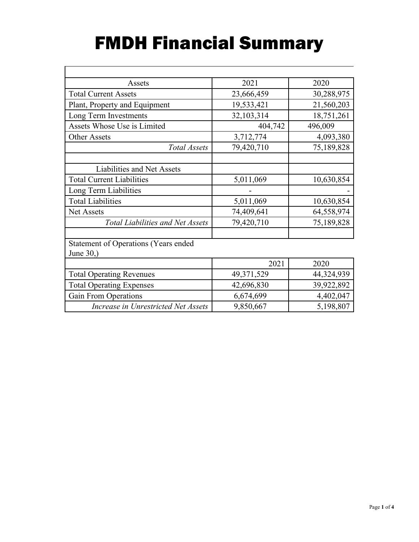# FMDH Financial Summary

 $\overline{r}$ 

| Assets                                      | 2021       | 2020       |
|---------------------------------------------|------------|------------|
| <b>Total Current Assets</b>                 | 23,666,459 | 30,288,975 |
| Plant, Property and Equipment               | 19,533,421 | 21,560,203 |
| Long Term Investments                       | 32,103,314 | 18,751,261 |
| Assets Whose Use is Limited                 | 404,742    | 496,009    |
| <b>Other Assets</b>                         | 3,712,774  | 4,093,380  |
| <b>Total Assets</b>                         | 79,420,710 | 75,189,828 |
|                                             |            |            |
| Liabilities and Net Assets                  |            |            |
| <b>Total Current Liabilities</b>            | 5,011,069  | 10,630,854 |
| Long Term Liabilities                       |            |            |
| <b>Total Liabilities</b>                    | 5,011,069  | 10,630,854 |
| <b>Net Assets</b>                           | 74,409,641 | 64,558,974 |
| <b>Total Liabilities and Net Assets</b>     | 79,420,710 | 75,189,828 |
|                                             |            |            |
| <b>Statement of Operations (Years ended</b> |            |            |
| June 30,)                                   |            |            |
|                                             | 2021       | 2020       |
| <b>Total Operating Revenues</b>             | 49,371,529 | 44,324,939 |
| <b>Total Operating Expenses</b>             | 42,696,830 | 39,922,892 |
| <b>Gain From Operations</b>                 | 6,674,699  | 4,402,047  |
| Increase in Unrestricted Net Assets         | 9,850,667  | 5,198,807  |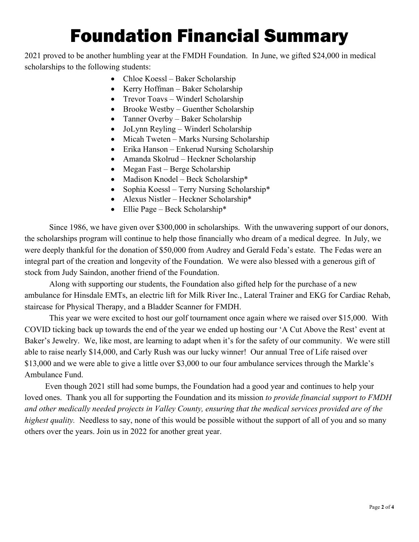# Foundation Financial Summary

2021 proved to be another humbling year at the FMDH Foundation. In June, we gifted \$24,000 in medical scholarships to the following students:

- Chloe Koessl Baker Scholarship
- Kerry Hoffman Baker Scholarship
- Trevor Toavs Winderl Scholarship
- Brooke Westby Guenther Scholarship
- Tanner Overby Baker Scholarship
- JoLynn Reyling Winderl Scholarship
- Micah Tweten Marks Nursing Scholarship
- Erika Hanson Enkerud Nursing Scholarship
- Amanda Skolrud Heckner Scholarship
- Megan Fast Berge Scholarship
- Madison Knodel Beck Scholarship\*
- Sophia Koessl Terry Nursing Scholarship\*
- Alexus Nistler Heckner Scholarship\*
- Ellie Page Beck Scholarship\*

Since 1986, we have given over \$300,000 in scholarships. With the unwavering support of our donors, the scholarships program will continue to help those financially who dream of a medical degree. In July, we were deeply thankful for the donation of \$50,000 from Audrey and Gerald Feda's estate. The Fedas were an integral part of the creation and longevity of the Foundation. We were also blessed with a generous gift of stock from Judy Saindon, another friend of the Foundation.

Along with supporting our students, the Foundation also gifted help for the purchase of a new ambulance for Hinsdale EMTs, an electric lift for Milk River Inc., Lateral Trainer and EKG for Cardiac Rehab, staircase for Physical Therapy, and a Bladder Scanner for FMDH.

This year we were excited to host our golf tournament once again where we raised over \$15,000. With COVID ticking back up towards the end of the year we ended up hosting our 'A Cut Above the Rest' event at Baker's Jewelry. We, like most, are learning to adapt when it's for the safety of our community. We were still able to raise nearly \$14,000, and Carly Rush was our lucky winner! Our annual Tree of Life raised over \$13,000 and we were able to give a little over \$3,000 to our four ambulance services through the Markle's Ambulance Fund.

 Even though 2021 still had some bumps, the Foundation had a good year and continues to help your loved ones. Thank you all for supporting the Foundation and its mission *to provide financial support to FMDH and other medically needed projects in Valley County, ensuring that the medical services provided are of the highest quality.* Needless to say, none of this would be possible without the support of all of you and so many others over the years. Join us in 2022 for another great year.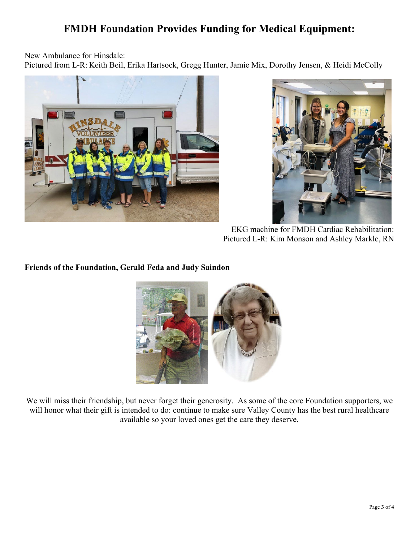# **FMDH Foundation Provides Funding for Medical Equipment:**

New Ambulance for Hinsdale:

Pictured from L-R: Keith Beil, Erika Hartsock, Gregg Hunter, Jamie Mix, Dorothy Jensen, & Heidi McColly





EKG machine for FMDH Cardiac Rehabilitation: Pictured L-R: Kim Monson and Ashley Markle, RN

## **Friends of the Foundation, Gerald Feda and Judy Saindon**



We will miss their friendship, but never forget their generosity. As some of the core Foundation supporters, we will honor what their gift is intended to do: continue to make sure Valley County has the best rural healthcare available so your loved ones get the care they deserve.